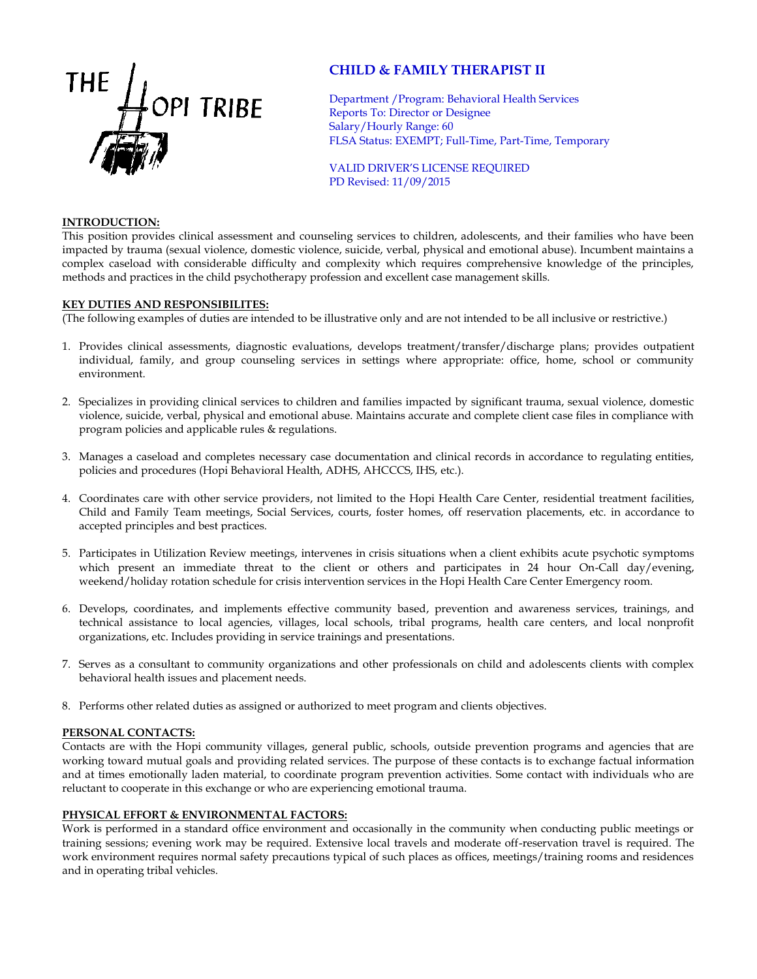

# **CHILD & FAMILY THERAPIST II**

Department /Program: Behavioral Health Services Reports To: Director or Designee Salary/Hourly Range: 60 FLSA Status: EXEMPT; Full-Time, Part-Time, Temporary

VALID DRIVER'S LICENSE REQUIRED PD Revised: 11/09/2015

### **INTRODUCTION:**

This position provides clinical assessment and counseling services to children, adolescents, and their families who have been impacted by trauma (sexual violence, domestic violence, suicide, verbal, physical and emotional abuse). Incumbent maintains a complex caseload with considerable difficulty and complexity which requires comprehensive knowledge of the principles, methods and practices in the child psychotherapy profession and excellent case management skills.

## **KEY DUTIES AND RESPONSIBILITES:**

(The following examples of duties are intended to be illustrative only and are not intended to be all inclusive or restrictive.)

- 1. Provides clinical assessments, diagnostic evaluations, develops treatment/transfer/discharge plans; provides outpatient individual, family, and group counseling services in settings where appropriate: office, home, school or community environment.
- 2. Specializes in providing clinical services to children and families impacted by significant trauma, sexual violence, domestic violence, suicide, verbal, physical and emotional abuse. Maintains accurate and complete client case files in compliance with program policies and applicable rules & regulations.
- 3. Manages a caseload and completes necessary case documentation and clinical records in accordance to regulating entities, policies and procedures (Hopi Behavioral Health, ADHS, AHCCCS, IHS, etc.).
- 4. Coordinates care with other service providers, not limited to the Hopi Health Care Center, residential treatment facilities, Child and Family Team meetings, Social Services, courts, foster homes, off reservation placements, etc. in accordance to accepted principles and best practices.
- 5. Participates in Utilization Review meetings, intervenes in crisis situations when a client exhibits acute psychotic symptoms which present an immediate threat to the client or others and participates in 24 hour On-Call day/evening, weekend/holiday rotation schedule for crisis intervention services in the Hopi Health Care Center Emergency room.
- 6. Develops, coordinates, and implements effective community based, prevention and awareness services, trainings, and technical assistance to local agencies, villages, local schools, tribal programs, health care centers, and local nonprofit organizations, etc. Includes providing in service trainings and presentations.
- 7. Serves as a consultant to community organizations and other professionals on child and adolescents clients with complex behavioral health issues and placement needs.
- 8. Performs other related duties as assigned or authorized to meet program and clients objectives.

### **PERSONAL CONTACTS:**

Contacts are with the Hopi community villages, general public, schools, outside prevention programs and agencies that are working toward mutual goals and providing related services. The purpose of these contacts is to exchange factual information and at times emotionally laden material, to coordinate program prevention activities. Some contact with individuals who are reluctant to cooperate in this exchange or who are experiencing emotional trauma.

### **PHYSICAL EFFORT & ENVIRONMENTAL FACTORS:**

Work is performed in a standard office environment and occasionally in the community when conducting public meetings or training sessions; evening work may be required. Extensive local travels and moderate off-reservation travel is required. The work environment requires normal safety precautions typical of such places as offices, meetings/training rooms and residences and in operating tribal vehicles.